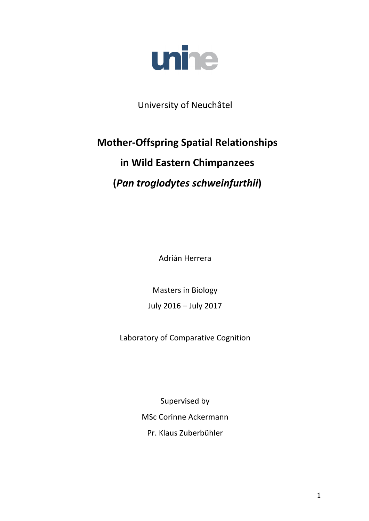

University of Neuchâtel

# **Mother-Offspring Spatial Relationships in Wild Eastern Chimpanzees (***Pan troglodytes schweinfurthii***)**

Adrián Herrera

Masters in Biology July 2016 - July 2017

Laboratory of Comparative Cognition

Supervised by MSc Corinne Ackermann Pr. Klaus Zuberbühler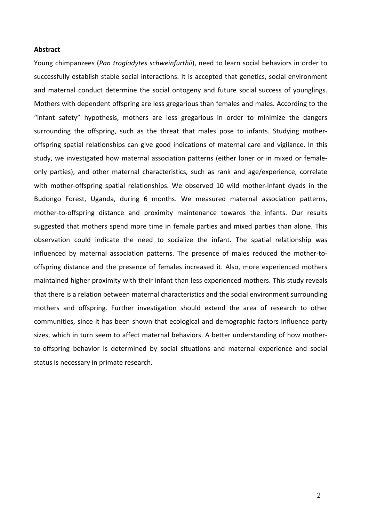#### **Abstract**

Young chimpanzees (*Pan troglodytes schweinfurthii*), need to learn social behaviors in order to successfully establish stable social interactions. It is accepted that genetics, social environment and maternal conduct determine the social ontogeny and future social success of younglings. Mothers with dependent offspring are less gregarious than females and males. According to the "infant safety" hypothesis, mothers are less gregarious in order to minimize the dangers surrounding the offspring, such as the threat that males pose to infants. Studying motheroffspring spatial relationships can give good indications of maternal care and vigilance. In this study, we investigated how maternal association patterns (either loner or in mixed or femaleonly parties), and other maternal characteristics, such as rank and age/experience, correlate with mother-offspring spatial relationships. We observed 10 wild mother-infant dyads in the Budongo Forest, Uganda, during 6 months. We measured maternal association patterns, mother-to-offspring distance and proximity maintenance towards the infants. Our results suggested that mothers spend more time in female parties and mixed parties than alone. This observation could indicate the need to socialize the infant. The spatial relationship was influenced by maternal association patterns. The presence of males reduced the mother-tooffspring distance and the presence of females increased it. Also, more experienced mothers maintained higher proximity with their infant than less experienced mothers. This study reveals that there is a relation between maternal characteristics and the social environment surrounding mothers and offspring. Further investigation should extend the area of research to other communities, since it has been shown that ecological and demographic factors influence party sizes, which in turn seem to affect maternal behaviors. A better understanding of how motherto-offspring behavior is determined by social situations and maternal experience and social status is necessary in primate research.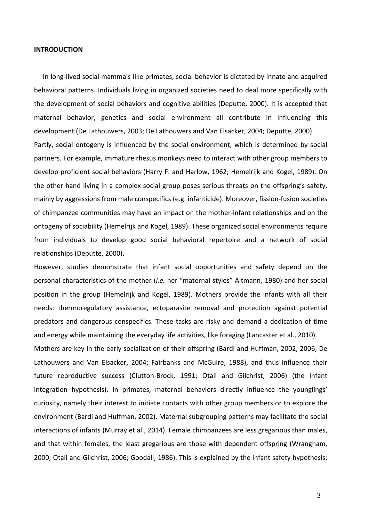#### **INTRODUCTION**

In long-lived social mammals like primates, social behavior is dictated by innate and acquired behavioral patterns. Individuals living in organized societies need to deal more specifically with the development of social behaviors and cognitive abilities (Deputte, 2000). It is accepted that maternal behavior, genetics and social environment all contribute in influencing this development (De Lathouwers, 2003; De Lathouwers and Van Elsacker, 2004; Deputte, 2000). Partly, social ontogeny is influenced by the social environment, which is determined by social partners. For example, immature rhesus monkeys need to interact with other group members to develop proficient social behaviors (Harry F. and Harlow, 1962; Hemelrijk and Kogel, 1989). On the other hand living in a complex social group poses serious threats on the offspring's safety, mainly by aggressions from male conspecifics (e.g. infanticide). Moreover, fission-fusion societies of chimpanzee communities may have an impact on the mother-infant relationships and on the ontogeny of sociability (Hemelrijk and Kogel, 1989). These organized social environments require from individuals to develop good social behavioral repertoire and a network of social relationships (Deputte, 2000).

However, studies demonstrate that infant social opportunities and safety depend on the personal characteristics of the mother (*i.e.* her "maternal styles" Altmann, 1980) and her social position in the group (Hemelrijk and Kogel, 1989). Mothers provide the infants with all their needs: thermoregulatory assistance, ectoparasite removal and protection against potential predators and dangerous conspecifics. These tasks are risky and demand a dedication of time and energy while maintaining the everyday life activities, like foraging (Lancaster et al., 2010).

Mothers are key in the early socialization of their offspring (Bardi and Huffman, 2002, 2006; De Lathouwers and Van Elsacker, 2004; Fairbanks and McGuire, 1988), and thus influence their future reproductive success (Clutton-Brock, 1991; Otali and Gilchrist, 2006) (the infant integration hypothesis). In primates, maternal behaviors directly influence the younglings' curiosity, namely their interest to initiate contacts with other group members or to explore the environment (Bardi and Huffman, 2002). Maternal subgrouping patterns may facilitate the social interactions of infants (Murray et al., 2014). Female chimpanzees are less gregarious than males, and that within females, the least gregarious are those with dependent offspring (Wrangham, 2000; Otali and Gilchrist, 2006; Goodall, 1986). This is explained by the infant safety hypothesis: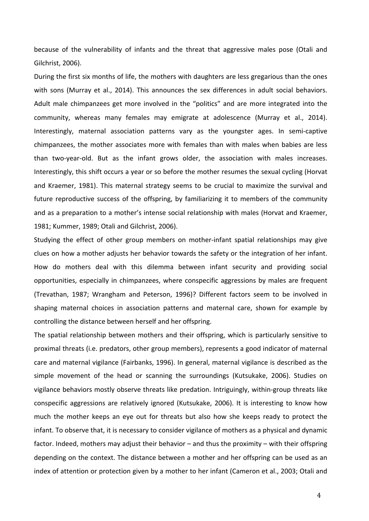because of the vulnerability of infants and the threat that aggressive males pose (Otali and Gilchrist, 2006).

During the first six months of life, the mothers with daughters are less gregarious than the ones with sons (Murray et al., 2014). This announces the sex differences in adult social behaviors. Adult male chimpanzees get more involved in the "politics" and are more integrated into the community, whereas many females may emigrate at adolescence (Murray et al., 2014). Interestingly, maternal association patterns vary as the youngster ages. In semi-captive chimpanzees, the mother associates more with females than with males when babies are less than two-year-old. But as the infant grows older, the association with males increases. Interestingly, this shift occurs a year or so before the mother resumes the sexual cycling (Horvat and Kraemer, 1981). This maternal strategy seems to be crucial to maximize the survival and future reproductive success of the offspring, by familiarizing it to members of the community and as a preparation to a mother's intense social relationship with males (Horvat and Kraemer, 1981; Kummer, 1989; Otali and Gilchrist, 2006).

Studying the effect of other group members on mother-infant spatial relationships may give clues on how a mother adjusts her behavior towards the safety or the integration of her infant. How do mothers deal with this dilemma between infant security and providing social opportunities, especially in chimpanzees, where conspecific aggressions by males are frequent (Trevathan, 1987; Wrangham and Peterson, 1996)? Different factors seem to be involved in shaping maternal choices in association patterns and maternal care, shown for example by controlling the distance between herself and her offspring.

The spatial relationship between mothers and their offspring, which is particularly sensitive to proximal threats (i.e. predators, other group members), represents a good indicator of maternal care and maternal vigilance (Fairbanks, 1996). In general, maternal vigilance is described as the simple movement of the head or scanning the surroundings (Kutsukake, 2006). Studies on vigilance behaviors mostly observe threats like predation. Intriguingly, within-group threats like conspecific aggressions are relatively ignored (Kutsukake, 2006). It is interesting to know how much the mother keeps an eye out for threats but also how she keeps ready to protect the infant. To observe that, it is necessary to consider vigilance of mothers as a physical and dynamic factor. Indeed, mothers may adjust their behavior – and thus the proximity – with their offspring depending on the context. The distance between a mother and her offspring can be used as an index of attention or protection given by a mother to her infant (Cameron et al., 2003; Otali and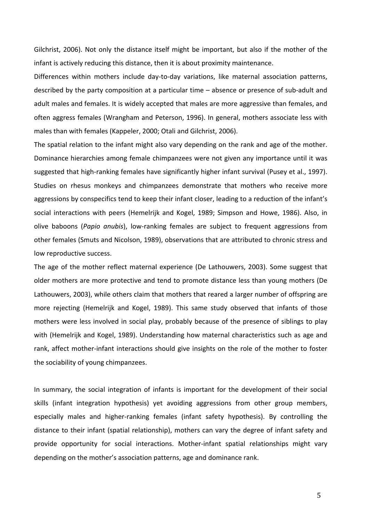Gilchrist, 2006). Not only the distance itself might be important, but also if the mother of the infant is actively reducing this distance, then it is about proximity maintenance.

Differences within mothers include day-to-day variations, like maternal association patterns, described by the party composition at a particular time – absence or presence of sub-adult and adult males and females. It is widely accepted that males are more aggressive than females, and often aggress females (Wrangham and Peterson, 1996). In general, mothers associate less with males than with females (Kappeler, 2000; Otali and Gilchrist, 2006).

The spatial relation to the infant might also vary depending on the rank and age of the mother. Dominance hierarchies among female chimpanzees were not given any importance until it was suggested that high-ranking females have significantly higher infant survival (Pusey et al., 1997). Studies on rhesus monkeys and chimpanzees demonstrate that mothers who receive more aggressions by conspecifics tend to keep their infant closer, leading to a reduction of the infant's social interactions with peers (Hemelrijk and Kogel, 1989; Simpson and Howe, 1986). Also, in olive baboons (Papio anubis), low-ranking females are subject to frequent aggressions from other females (Smuts and Nicolson, 1989), observations that are attributed to chronic stress and low reproductive success.

The age of the mother reflect maternal experience (De Lathouwers, 2003). Some suggest that older mothers are more protective and tend to promote distance less than young mothers (De Lathouwers, 2003), while others claim that mothers that reared a larger number of offspring are more rejecting (Hemelrijk and Kogel, 1989). This same study observed that infants of those mothers were less involved in social play, probably because of the presence of siblings to play with (Hemelrijk and Kogel, 1989). Understanding how maternal characteristics such as age and rank, affect mother-infant interactions should give insights on the role of the mother to foster the sociability of young chimpanzees.

In summary, the social integration of infants is important for the development of their social skills (infant integration hypothesis) yet avoiding aggressions from other group members, especially males and higher-ranking females (infant safety hypothesis). By controlling the distance to their infant (spatial relationship), mothers can vary the degree of infant safety and provide opportunity for social interactions. Mother-infant spatial relationships might vary depending on the mother's association patterns, age and dominance rank.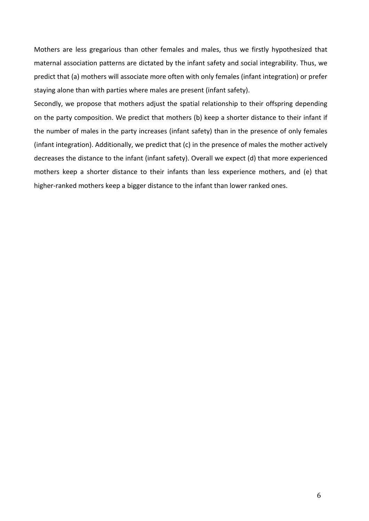Mothers are less gregarious than other females and males, thus we firstly hypothesized that maternal association patterns are dictated by the infant safety and social integrability. Thus, we predict that (a) mothers will associate more often with only females (infant integration) or prefer staying alone than with parties where males are present (infant safety).

Secondly, we propose that mothers adjust the spatial relationship to their offspring depending on the party composition. We predict that mothers (b) keep a shorter distance to their infant if the number of males in the party increases (infant safety) than in the presence of only females (infant integration). Additionally, we predict that (c) in the presence of males the mother actively decreases the distance to the infant (infant safety). Overall we expect (d) that more experienced mothers keep a shorter distance to their infants than less experience mothers, and (e) that higher-ranked mothers keep a bigger distance to the infant than lower ranked ones.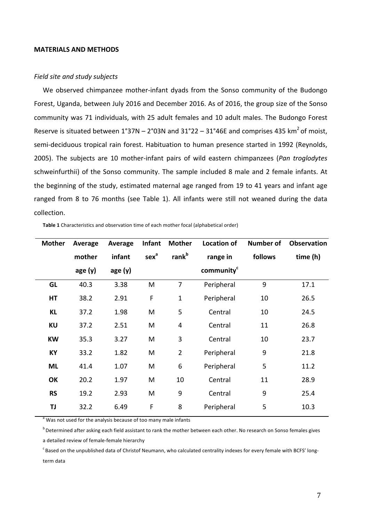#### **MATERIALS AND METHODS**

#### *Field site and study subjects*

We observed chimpanzee mother-infant dyads from the Sonso community of the Budongo Forest, Uganda, between July 2016 and December 2016. As of 2016, the group size of the Sonso community was 71 individuals, with 25 adult females and 10 adult males. The Budongo Forest Reserve is situated between  $1^{\circ}37N - 2^{\circ}03N$  and  $31^{\circ}22 - 31^{\circ}46E$  and comprises 435 km<sup>2</sup> of moist, semi-deciduous tropical rain forest. Habituation to human presence started in 1992 (Reynolds, 2005). The subjects are 10 mother-infant pairs of wild eastern chimpanzees (Pan troglodytes schweinfurthii) of the Sonso community. The sample included 8 male and 2 female infants. At the beginning of the study, estimated maternal age ranged from 19 to 41 years and infant age ranged from 8 to 76 months (see Table 1). All infants were still not weaned during the data collection.

| <b>Mother</b> | Average | Average | Infant           | <b>Mother</b>     | <b>Location of</b>     | <b>Number of</b> | <b>Observation</b> |
|---------------|---------|---------|------------------|-------------------|------------------------|------------------|--------------------|
|               | mother  | infant  | sex <sup>a</sup> | rank <sup>b</sup> | range in               | follows          | time (h)           |
|               | age(y)  | age(y)  |                  |                   | community <sup>c</sup> |                  |                    |
| <b>GL</b>     | 40.3    | 3.38    | M                | 7                 | Peripheral             | 9                | 17.1               |
| HT            | 38.2    | 2.91    | $\mathsf F$      | $\mathbf{1}$      | Peripheral             | 10               | 26.5               |
| KL            | 37.2    | 1.98    | M                | 5                 | Central                | 10               | 24.5               |
| <b>KU</b>     | 37.2    | 2.51    | M                | $\overline{4}$    | Central                | 11               | 26.8               |
| <b>KW</b>     | 35.3    | 3.27    | M                | 3                 | Central                | 10               | 23.7               |
| KY            | 33.2    | 1.82    | M                | $\overline{2}$    | Peripheral             | 9                | 21.8               |
| <b>ML</b>     | 41.4    | 1.07    | M                | $6\phantom{1}6$   | Peripheral             | 5                | 11.2               |
| OK            | 20.2    | 1.97    | M                | 10                | Central                | 11               | 28.9               |
| <b>RS</b>     | 19.2    | 2.93    | M                | 9                 | Central                | 9                | 25.4               |
| TJ            | 32.2    | 6.49    | F                | 8                 | Peripheral             | 5                | 10.3               |

Table 1 Characteristics and observation time of each mother focal (alphabetical order)

Was not used for the analysis because of too many male infants

 $^{\rm b}$  Determined after asking each field assistant to rank the mother between each other. No research on Sonso females gives a detailed review of female-female hierarchy

 $c$ Based on the unpublished data of Christof Neumann, who calculated centrality indexes for every female with BCFS' longterm data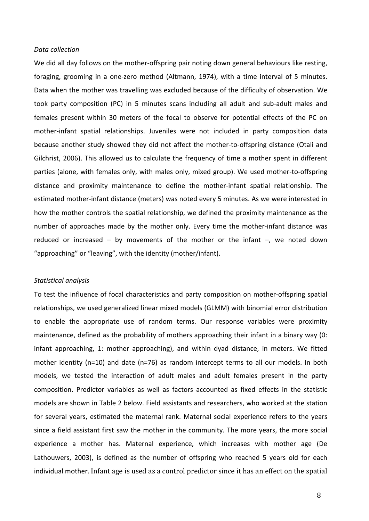#### *Data collection*

We did all day follows on the mother-offspring pair noting down general behaviours like resting, foraging, grooming in a one-zero method (Altmann, 1974), with a time interval of 5 minutes. Data when the mother was travelling was excluded because of the difficulty of observation. We took party composition (PC) in 5 minutes scans including all adult and sub-adult males and females present within 30 meters of the focal to observe for potential effects of the PC on mother-infant spatial relationships. Juveniles were not included in party composition data because another study showed they did not affect the mother-to-offspring distance (Otali and Gilchrist, 2006). This allowed us to calculate the frequency of time a mother spent in different parties (alone, with females only, with males only, mixed group). We used mother-to-offspring distance and proximity maintenance to define the mother-infant spatial relationship. The estimated mother-infant distance (meters) was noted every 5 minutes. As we were interested in how the mother controls the spatial relationship, we defined the proximity maintenance as the number of approaches made by the mother only. Every time the mother-infant distance was reduced or increased – by movements of the mother or the infant  $-$ , we noted down "approaching" or "leaving", with the identity (mother/infant).

#### *Statistical analysis*

To test the influence of focal characteristics and party composition on mother-offspring spatial relationships, we used generalized linear mixed models (GLMM) with binomial error distribution to enable the appropriate use of random terms. Our response variables were proximity maintenance, defined as the probability of mothers approaching their infant in a binary way (0: infant approaching, 1: mother approaching), and within dyad distance, in meters. We fitted mother identity  $(n=10)$  and date  $(n=76)$  as random intercept terms to all our models. In both models, we tested the interaction of adult males and adult females present in the party composition. Predictor variables as well as factors accounted as fixed effects in the statistic models are shown in Table 2 below. Field assistants and researchers, who worked at the station for several years, estimated the maternal rank. Maternal social experience refers to the years since a field assistant first saw the mother in the community. The more years, the more social experience a mother has. Maternal experience, which increases with mother age (De Lathouwers, 2003), is defined as the number of offspring who reached 5 years old for each individual mother. Infant age is used as a control predictor since it has an effect on the spatial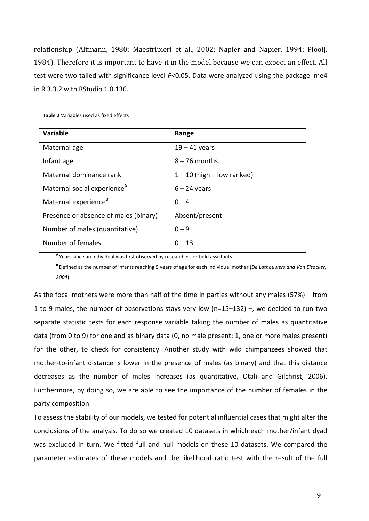relationship (Altmann, 1980; Maestripieri et al., 2002; Napier and Napier, 1994; Plooij, 1984). Therefore it is important to have it in the model because we can expect an effect. All test were two-tailed with significance level P<0.05. Data were analyzed using the package lme4 in R 3.3.2 with RStudio 1.0.136.

| <b>Variable</b>                         | Range                          |
|-----------------------------------------|--------------------------------|
| Maternal age                            | $19 - 41$ years                |
| Infant age                              | $8 - 76$ months                |
| Maternal dominance rank                 | $1 - 10$ (high $-$ low ranked) |
| Maternal social experience <sup>A</sup> | $6 - 24$ years                 |
| Maternal experience <sup>B</sup>        | $0 - 4$                        |
| Presence or absence of males (binary)   | Absent/present                 |
| Number of males (quantitative)          | $0 - 9$                        |
| Number of females                       | $0 - 13$                       |

**Table 2** Variables used as fixed effects

A Years since an individual was first observed by researchers or field assistants

**B** Defined as the number of infants reaching 5 years of age for each individual mother (*De Lathouwers and Van Elsacker*, *2004*)

As the focal mothers were more than half of the time in parties without any males (57%) – from 1 to 9 males, the number of observations stays very low (n=15-132) -, we decided to run two separate statistic tests for each response variable taking the number of males as quantitative data (from 0 to 9) for one and as binary data (0, no male present; 1, one or more males present) for the other, to check for consistency. Another study with wild chimpanzees showed that mother-to-infant distance is lower in the presence of males (as binary) and that this distance decreases as the number of males increases (as quantitative, Otali and Gilchrist, 2006). Furthermore, by doing so, we are able to see the importance of the number of females in the party composition.

To assess the stability of our models, we tested for potential influential cases that might alter the conclusions of the analysis. To do so we created 10 datasets in which each mother/infant dyad was excluded in turn. We fitted full and null models on these 10 datasets. We compared the parameter estimates of these models and the likelihood ratio test with the result of the full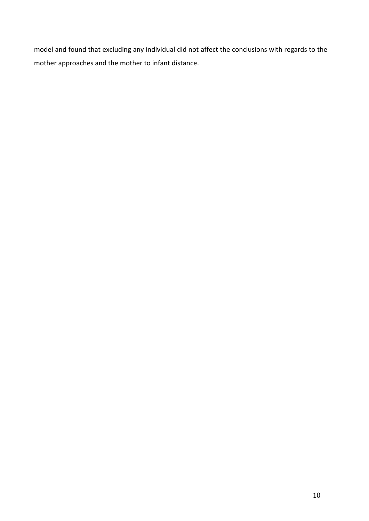model and found that excluding any individual did not affect the conclusions with regards to the mother approaches and the mother to infant distance.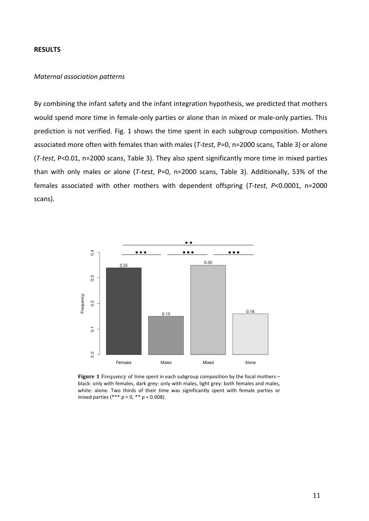#### **RESULTS**

#### *Maternal association patterns*

By combining the infant safety and the infant integration hypothesis, we predicted that mothers would spend more time in female-only parties or alone than in mixed or male-only parties. This prediction is not verified. Fig. 1 shows the time spent in each subgroup composition. Mothers associated more often with females than with males (T-test, P=0, n=2000 scans, Table 3) or alone (*T-test*, P<0.01, n=2000 scans, Table 3). They also spent significantly more time in mixed parties than with only males or alone (T-test, P=0, n=2000 scans, Table 3). Additionally, 53% of the females associated with other mothers with dependent offspring (*T-test*, *P<0.0001*, n=2000 scans).



**Figure 1** Frequency of time spent in each subgroup composition by the focal mothers – black: only with females, dark grey: only with males, light grey: both females and males, white: alone. Two thirds of their time was significantly spent with female parties or mixed parties  $(*** p = 0, ** p = 0.008)$ .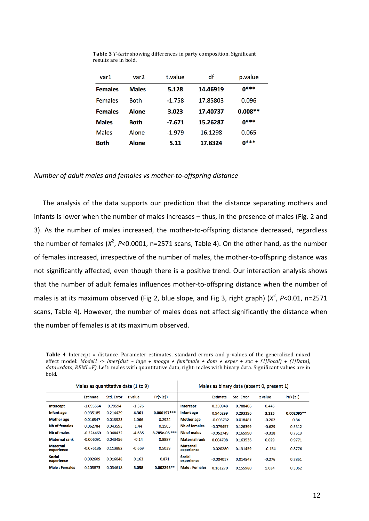| var1           | var <sub>2</sub> | t.value  | df       | p.value     |
|----------------|------------------|----------|----------|-------------|
| <b>Females</b> | <b>Males</b>     | 5.128    | 14.46919 | $0***$      |
| <b>Females</b> | <b>Both</b>      | $-1.758$ | 17.85803 | 0.096       |
| <b>Females</b> | Alone            | 3.023    | 17.40737 | $0.008**$   |
| <b>Males</b>   | <b>Both</b>      | -7.671   | 15.26287 | $0***$      |
| <b>Males</b>   | Alone            | $-1.979$ | 16.1298  | 0.065       |
| Both           | <b>Alone</b>     | 5.11     | 17.8324  | <b>0***</b> |

**Table 3** *T-tests* showing differences in party composition. Significant results are in bold.

#### *Number of adult males and females vs mother-to-offspring distance*

The analysis of the data supports our prediction that the distance separating mothers and infants is lower when the number of males increases – thus, in the presence of males (Fig. 2 and 3). As the number of males increased, the mother-to-offspring distance decreased, regardless the number of females ( $X^2$ , P<0.0001, n=2571 scans, Table 4). On the other hand, as the number of females increased, irrespective of the number of males, the mother-to-offspring distance was not significantly affected, even though there is a positive trend. Our interaction analysis shows that the number of adult females influences mother-to-offspring distance when the number of males is at its maximum observed (Fig 2, blue slope, and Fig 3, right graph) ( $X^2$ , P<0.01, n=2571 scans, Table 4). However, the number of males does not affect significantly the distance when the number of females is at its maximum observed.

**Table 4** Intercept = distance. Parameter estimates, standard errors and p-values of the generalized mixed effect model: *Model1*  $\leftarrow$  *lmer(dist*  $\sim$  iage  $+$  moage  $+$  fem\*male  $+$  dom  $+$  exper  $+$  soc  $+$  (1[Focal) + (1[Date), *data=xdata, REML=F).* Left: males with quantitative data, right: males with binary data. Significant values are in bold.

 $\mathbf{I}$ 

| Males as quantitative data (1 to 9) |             |            |          | Males as binary data (absent 0, present 1) |                               |             |            |          |            |
|-------------------------------------|-------------|------------|----------|--------------------------------------------|-------------------------------|-------------|------------|----------|------------|
|                                     | Estimate    | Std. Error | z value  | Pr(> z )                                   |                               | Estimate    | Std. Error | z value  | Pr(> z )   |
| <b>Intercept</b>                    | $-1.095564$ | 0.79594    | $-1.376$ |                                            | <b>Intercept</b>              | 0.350948    | 0.788406   | 0.445    |            |
| Infant age                          | 0.935185    | 0.214429   | 4.361    | $0.000197***$                              | Infant age                    | 0.946299    | 0.293396   | 3.225    | 0.002095** |
| <b>Mother</b> age                   | 0.016547    | 0.015523   | 1.066    | 0.2924                                     | <b>Mother</b> age             | $-0.003732$ | 0.018481   | $-0.202$ | 0.84       |
| <b>Nb of females</b>                | 0.062784    | 0.043593   | 1.44     | 0.1505                                     | <b>Nb of females</b>          | $-0.079457$ | 0.126399   | $-0.629$ | 0.5312     |
| Nb of males                         | $-0.224469$ | 0.048432   | $-4.635$ | 3.785e-06 ***                              | Nb of males                   | $-0.052749$ | 0.165990   | $-0.318$ | 0.7513     |
| <b>Maternal rank</b>                | $-0.006091$ | 0.043456   | $-0.14$  | 0.8887                                     | <b>Maternal rank</b>          | 0.004708    | 0.163536   | 0.029    | 0.9771     |
| <b>Maternal</b><br>experience       | $-0.076186$ | 0.113882   | $-0.669$ | 0.5039                                     | <b>Maternal</b><br>experience | $-0.020280$ | 0.131459   | $-0.154$ | 0.8776     |
| Social<br>experience                | 0.002609    | 0.016048   | 0.163    | 0.871                                      | <b>Social</b><br>experience   | $-0.004017$ | 0.014548   | $-0.276$ | 0.7851     |
| Male: Females                       | 0.105873    | 0.034618   | 3.058    | $0.002295**$                               | <b>Male: Females</b>          | 0.161270    | 0.155980   | 1.034    | 0.3062     |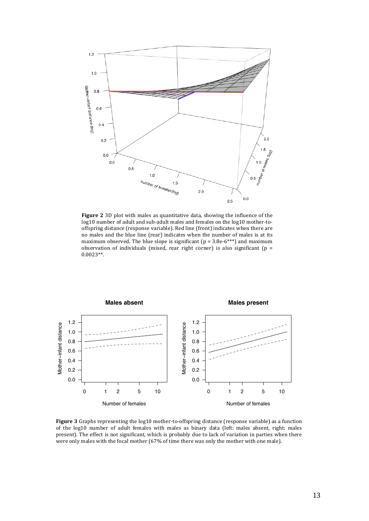

**Figure 2** 3D plot with males as quantitative data, showing the influence of the log10 number of adult and sub-adult males and females on the log10 mother-tooffspring distance (response variable). Red line (front) indicates when there are no males and the blue line (rear) indicates when the number of males is at its maximum observed. The blue slope is significant ( $p = 3.8e-6***$ ) and maximum observation of individuals (mixed, rear right corner) is also significant (p = 0.0023\*\*.



Figure 3 Graphs representing the  $log10$  mother-to-offspring distance (response variable) as a function of the log10 number of adult females with males as binary data (left: males absent, right: males present). The effect is not significant, which is probably due to lack of variation in parties when there were only males with the focal mother (67% of time there was only the mother with one male).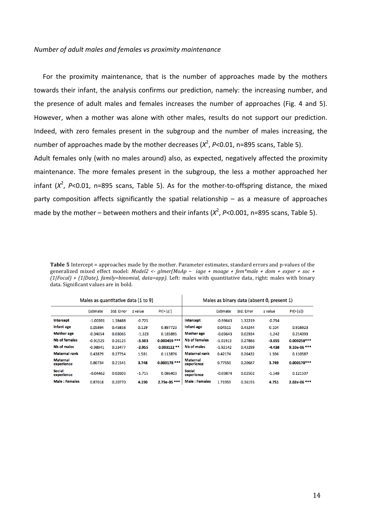#### *Number of adult males and females vs proximity maintenance*

For the proximity maintenance, that is the number of approaches made by the mothers towards their infant, the analysis confirms our prediction, namely: the increasing number, and the presence of adult males and females increases the number of approaches (Fig. 4 and 5). However, when a mother was alone with other males, results do not support our prediction. Indeed, with zero females present in the subgroup and the number of males increasing, the number of approaches made by the mother decreases ( $X^2$ ,  $P$ <0.01, n=895 scans, Table 5).

Adult females only (with no males around) also, as expected, negatively affected the proximity maintenance. The more females present in the subgroup, the less a mother approached her infant  $(X^2, P<0.01, n=895$  scans, Table 5). As for the mother-to-offspring distance, the mixed party composition affects significantly the spatial relationship  $-$  as a measure of approaches made by the mother – between mothers and their infants  $(X^2, P<0.001, n=895$  scans, Table 5).

**Table 5** Intercept = approaches made by the mother. Parameter estimates, standard errors and p-values of the generalized mixed effect model: *Model2* <-  $g$ lmer(MoAp ~  $iage + moage + fem*male + dom + exper + soc +$  $(1|Focal) + (1|Date)$ , family=binomial,  $data=app$ ). Left: males with quantitative data, right: males with binary data. Significant values are in bold.

| Males as quantitative data (1 to 9) |            |            |          | Males as binary data (absent 0, present 1) |                               |            |            |          |               |
|-------------------------------------|------------|------------|----------|--------------------------------------------|-------------------------------|------------|------------|----------|---------------|
|                                     | Estimate   | Std. Error | z value  | Pr(>  z )                                  |                               | Estimate   | Std. Error | z value  | Pr(> z )      |
| <b>Intercept</b>                    | $-1.00391$ | 1.38488    | $-0.725$ |                                            | Intercept                     | $-0.99643$ | 1.32219    | $-0.754$ |               |
| Infant age                          | 0.05894    | 0.45858    | 0.129    | 0.897723                                   | Infant age                    | 0.04511    | 0.43244    | 0.104    | 0.916923      |
| <b>Mother age</b>                   | $-0.04054$ | 0.03065    | $-1.323$ | 0.185895                                   | <b>Mother age</b>             | $-0.03643$ | 0.02934    | $-1.242$ | 0.214393      |
| Nb of females                       | $-0.91525$ | 0.26125    | $-3.503$ | $0.000459$ ***                             | Nb of females                 | $-1.01913$ | 0.27886    | $-3.655$ | 0.000258***   |
| Nb of males                         | $-0.98941$ | 0.33477    | $-2.955$ | $0.003122**$                               | Nb of males                   | $-1.92142$ | 0.43299    | $-4.438$ | 9.10e-06 ***  |
| <b>Maternal rank</b>                | 0.43879    | 0.27754    | 1.581    | 0.113876                                   | <b>Maternal rank</b>          | 0.42174    | 0.26432    | 1.596    | 0.110587      |
| <b>Maternal</b><br>experience       | 0.80734    | 0.21541    | 3.748    | $0.000178$ ***                             | <b>Maternal</b><br>experience | 0.77550    | 0.20687    | 3.749    | $0.000178***$ |
| Social<br>experience                | $-0.04462$ | 0.02603    | $-1.715$ | 0.086403                                   | <b>Social</b><br>experience   | $-0.03874$ | 0.02502    | $-1.548$ | 0.121507      |
| <b>Male: Females</b>                | 0.87018    | 0.20770    | 4.190    | 2.79e-05 ***                               | <b>Male: Females</b>          | 1.71959    | 0.36193    | 4.751    | 2.02e-06 ***  |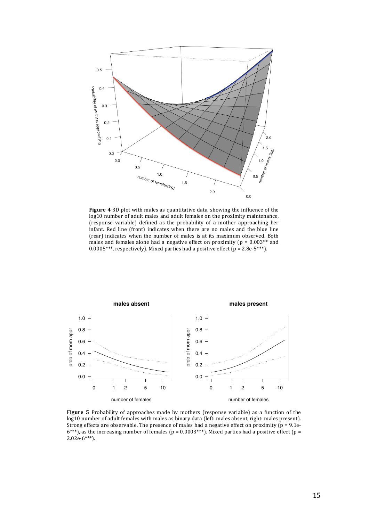

**Figure 4** 3D plot with males as quantitative data, showing the influence of the log10 number of adult males and adult females on the proximity maintenance, (response variable) defined as the probability of a mother approaching her infant. Red line (front) indicates when there are no males and the blue line (rear) indicates when the number of males is at its maximum observed. Both males and females alone had a negative effect on proximity ( $p = 0.003**$  and  $0.0005***$ , respectively). Mixed parties had a positive effect (p = 2.8e-5\*\*\*).



**Figure 5** Probability of approaches made by mothers (response variable) as a function of the log10 number of adult females with males as binary data (left: males absent, right: males present). Strong effects are observable. The presence of males had a negative effect on proximity ( $p = 9.1e$ - $6***$ ), as the increasing number of females (p = 0.0003\*\*\*). Mixed parties had a positive effect (p = 2.02e-6\*\*\*).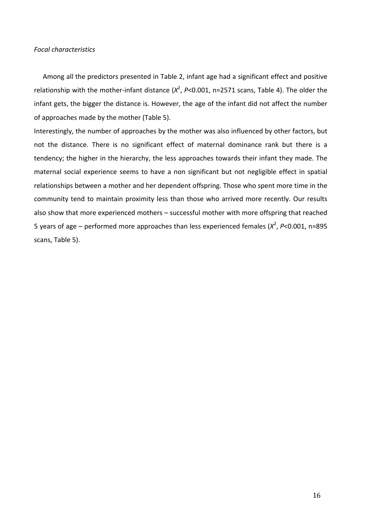## *Focal characteristics*

Among all the predictors presented in Table 2, infant age had a significant effect and positive relationship with the mother-infant distance  $(X^2, P<0.001, n=2571$  scans, Table 4). The older the infant gets, the bigger the distance is. However, the age of the infant did not affect the number of approaches made by the mother (Table 5).

Interestingly, the number of approaches by the mother was also influenced by other factors, but not the distance. There is no significant effect of maternal dominance rank but there is a tendency; the higher in the hierarchy, the less approaches towards their infant they made. The maternal social experience seems to have a non significant but not negligible effect in spatial relationships between a mother and her dependent offspring. Those who spent more time in the community tend to maintain proximity less than those who arrived more recently. Our results also show that more experienced mothers - successful mother with more offspring that reached 5 years of age – performed more approaches than less experienced females (*X<sup>2</sup>, P*<0.001, n=895 scans, Table 5).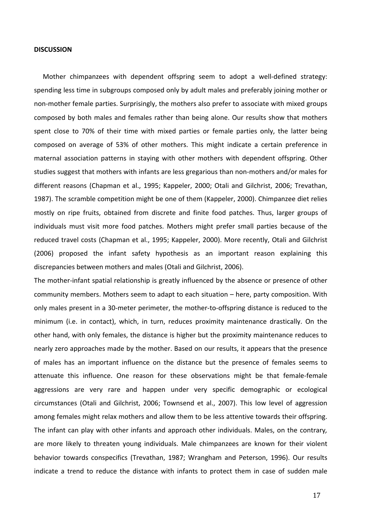#### **DISCUSSION**

Mother chimpanzees with dependent offspring seem to adopt a well-defined strategy: spending less time in subgroups composed only by adult males and preferably joining mother or non-mother female parties. Surprisingly, the mothers also prefer to associate with mixed groups composed by both males and females rather than being alone. Our results show that mothers spent close to 70% of their time with mixed parties or female parties only, the latter being composed on average of 53% of other mothers. This might indicate a certain preference in maternal association patterns in staying with other mothers with dependent offspring. Other studies suggest that mothers with infants are less gregarious than non-mothers and/or males for different reasons (Chapman et al., 1995; Kappeler, 2000; Otali and Gilchrist, 2006; Trevathan, 1987). The scramble competition might be one of them (Kappeler, 2000). Chimpanzee diet relies mostly on ripe fruits, obtained from discrete and finite food patches. Thus, larger groups of individuals must visit more food patches. Mothers might prefer small parties because of the reduced travel costs (Chapman et al., 1995; Kappeler, 2000). More recently, Otali and Gilchrist (2006) proposed the infant safety hypothesis as an important reason explaining this discrepancies between mothers and males (Otali and Gilchrist, 2006).

The mother-infant spatial relationship is greatly influenced by the absence or presence of other community members. Mothers seem to adapt to each situation - here, party composition. With only males present in a 30-meter perimeter, the mother-to-offspring distance is reduced to the minimum (i.e. in contact), which, in turn, reduces proximity maintenance drastically. On the other hand, with only females, the distance is higher but the proximity maintenance reduces to nearly zero approaches made by the mother. Based on our results, it appears that the presence of males has an important influence on the distance but the presence of females seems to attenuate this influence. One reason for these observations might be that female-female aggressions are very rare and happen under very specific demographic or ecological circumstances (Otali and Gilchrist, 2006; Townsend et al., 2007). This low level of aggression among females might relax mothers and allow them to be less attentive towards their offspring. The infant can play with other infants and approach other individuals. Males, on the contrary, are more likely to threaten young individuals. Male chimpanzees are known for their violent behavior towards conspecifics (Trevathan, 1987; Wrangham and Peterson, 1996). Our results indicate a trend to reduce the distance with infants to protect them in case of sudden male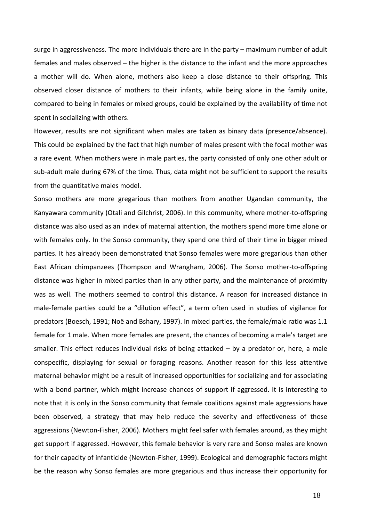surge in aggressiveness. The more individuals there are in the party – maximum number of adult females and males observed – the higher is the distance to the infant and the more approaches a mother will do. When alone, mothers also keep a close distance to their offspring. This observed closer distance of mothers to their infants, while being alone in the family unite, compared to being in females or mixed groups, could be explained by the availability of time not spent in socializing with others.

However, results are not significant when males are taken as binary data (presence/absence). This could be explained by the fact that high number of males present with the focal mother was a rare event. When mothers were in male parties, the party consisted of only one other adult or sub-adult male during 67% of the time. Thus, data might not be sufficient to support the results from the quantitative males model.

Sonso mothers are more gregarious than mothers from another Ugandan community, the Kanyawara community (Otali and Gilchrist, 2006). In this community, where mother-to-offspring distance was also used as an index of maternal attention, the mothers spend more time alone or with females only. In the Sonso community, they spend one third of their time in bigger mixed parties. It has already been demonstrated that Sonso females were more gregarious than other East African chimpanzees (Thompson and Wrangham, 2006). The Sonso mother-to-offspring distance was higher in mixed parties than in any other party, and the maintenance of proximity was as well. The mothers seemed to control this distance. A reason for increased distance in male-female parties could be a "dilution effect", a term often used in studies of vigilance for predators (Boesch, 1991; Noë and Bshary, 1997). In mixed parties, the female/male ratio was 1.1 female for 1 male. When more females are present, the chances of becoming a male's target are smaller. This effect reduces individual risks of being attacked  $-$  by a predator or, here, a male conspecific, displaying for sexual or foraging reasons. Another reason for this less attentive maternal behavior might be a result of increased opportunities for socializing and for associating with a bond partner, which might increase chances of support if aggressed. It is interesting to note that it is only in the Sonso community that female coalitions against male aggressions have been observed, a strategy that may help reduce the severity and effectiveness of those aggressions (Newton-Fisher, 2006). Mothers might feel safer with females around, as they might get support if aggressed. However, this female behavior is very rare and Sonso males are known for their capacity of infanticide (Newton-Fisher, 1999). Ecological and demographic factors might be the reason why Sonso females are more gregarious and thus increase their opportunity for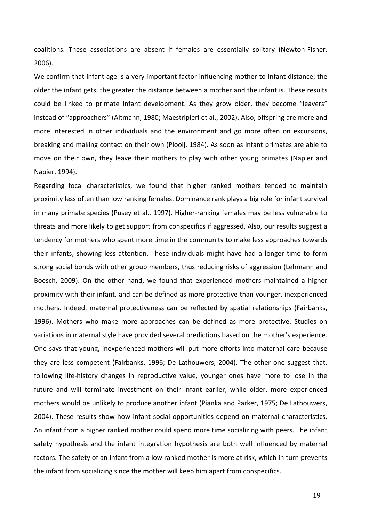coalitions. These associations are absent if females are essentially solitary (Newton-Fisher, 2006). 

We confirm that infant age is a very important factor influencing mother-to-infant distance; the older the infant gets, the greater the distance between a mother and the infant is. These results could be linked to primate infant development. As they grow older, they become "leavers" instead of "approachers" (Altmann, 1980; Maestripieri et al., 2002). Also, offspring are more and more interested in other individuals and the environment and go more often on excursions, breaking and making contact on their own (Plooij, 1984). As soon as infant primates are able to move on their own, they leave their mothers to play with other young primates (Napier and Napier, 1994).

Regarding focal characteristics, we found that higher ranked mothers tended to maintain proximity less often than low ranking females. Dominance rank plays a big role for infant survival in many primate species (Pusey et al., 1997). Higher-ranking females may be less vulnerable to threats and more likely to get support from conspecifics if aggressed. Also, our results suggest a tendency for mothers who spent more time in the community to make less approaches towards their infants, showing less attention. These individuals might have had a longer time to form strong social bonds with other group members, thus reducing risks of aggression (Lehmann and Boesch, 2009). On the other hand, we found that experienced mothers maintained a higher proximity with their infant, and can be defined as more protective than younger, inexperienced mothers. Indeed, maternal protectiveness can be reflected by spatial relationships (Fairbanks, 1996). Mothers who make more approaches can be defined as more protective. Studies on variations in maternal style have provided several predictions based on the mother's experience. One says that young, inexperienced mothers will put more efforts into maternal care because they are less competent (Fairbanks, 1996; De Lathouwers, 2004). The other one suggest that, following life-history changes in reproductive value, younger ones have more to lose in the future and will terminate investment on their infant earlier, while older, more experienced mothers would be unlikely to produce another infant (Pianka and Parker, 1975; De Lathouwers, 2004). These results show how infant social opportunities depend on maternal characteristics. An infant from a higher ranked mother could spend more time socializing with peers. The infant safety hypothesis and the infant integration hypothesis are both well influenced by maternal factors. The safety of an infant from a low ranked mother is more at risk, which in turn prevents the infant from socializing since the mother will keep him apart from conspecifics.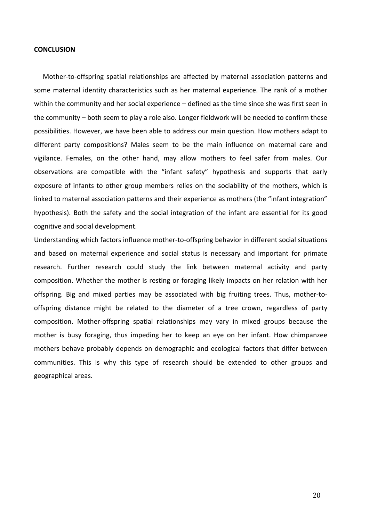#### **CONCLUSION**

Mother-to-offspring spatial relationships are affected by maternal association patterns and some maternal identity characteristics such as her maternal experience. The rank of a mother within the community and her social experience  $-$  defined as the time since she was first seen in the community – both seem to play a role also. Longer fieldwork will be needed to confirm these possibilities. However, we have been able to address our main question. How mothers adapt to different party compositions? Males seem to be the main influence on maternal care and vigilance. Females, on the other hand, may allow mothers to feel safer from males. Our observations are compatible with the "infant safety" hypothesis and supports that early exposure of infants to other group members relies on the sociability of the mothers, which is linked to maternal association patterns and their experience as mothers (the "infant integration" hypothesis). Both the safety and the social integration of the infant are essential for its good cognitive and social development.

Understanding which factors influence mother-to-offspring behavior in different social situations and based on maternal experience and social status is necessary and important for primate research. Further research could study the link between maternal activity and party composition. Whether the mother is resting or foraging likely impacts on her relation with her offspring. Big and mixed parties may be associated with big fruiting trees. Thus, mother-tooffspring distance might be related to the diameter of a tree crown, regardless of party composition. Mother-offspring spatial relationships may vary in mixed groups because the mother is busy foraging, thus impeding her to keep an eye on her infant. How chimpanzee mothers behave probably depends on demographic and ecological factors that differ between communities. This is why this type of research should be extended to other groups and geographical areas.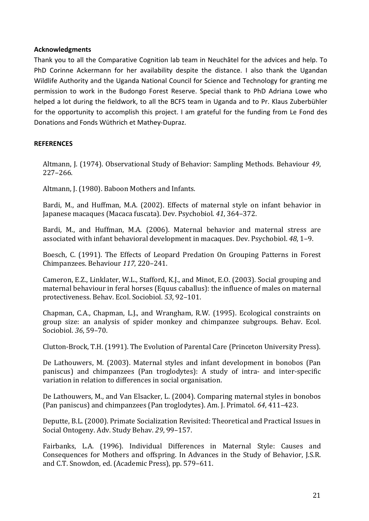# **Acknowledgments**

Thank you to all the Comparative Cognition lab team in Neuchâtel for the advices and help. To PhD Corinne Ackermann for her availability despite the distance. I also thank the Ugandan Wildlife Authority and the Uganda National Council for Science and Technology for granting me permission to work in the Budongo Forest Reserve. Special thank to PhD Adriana Lowe who helped a lot during the fieldwork, to all the BCFS team in Uganda and to Pr. Klaus Zuberbühler for the opportunity to accomplish this project. I am grateful for the funding from Le Fond des Donations and Fonds Wüthrich et Mathey-Dupraz.

# **REFERENCES**

Altmann, J. (1974). Observational Study of Behavior: Sampling Methods. Behaviour 49, 227–266.

Altmann, I. (1980). Baboon Mothers and Infants.

Bardi, M., and Huffman, M.A. (2002). Effects of maternal style on infant behavior in Japanese macaques (Macaca fuscata). Dev. Psychobiol. 41, 364–372.

Bardi, M., and Huffman, M.A. (2006). Maternal behavior and maternal stress are associated with infant behavioral development in macaques. Dev. Psychobiol. 48, 1-9.

Boesch, C. (1991). The Effects of Leopard Predation On Grouping Patterns in Forest Chimpanzees. Behaviour *117*, 220–241.

Cameron, E.Z., Linklater, W.L., Stafford, K.J., and Minot, E.O. (2003). Social grouping and maternal behaviour in feral horses (Equus caballus): the influence of males on maternal protectiveness. Behav. Ecol. Sociobiol. *53*, 92–101.

Chapman, C.A., Chapman, L.J., and Wrangham, R.W. (1995). Ecological constraints on group size: an analysis of spider monkey and chimpanzee subgroups. Behav. Ecol. Sociobiol. 36, 59-70.

Clutton-Brock, T.H. (1991). The Evolution of Parental Care (Princeton University Press).

De Lathouwers, M. (2003). Maternal styles and infant development in bonobos (Pan paniscus) and chimpanzees (Pan troglodytes): A study of intra- and inter-specific variation in relation to differences in social organisation.

De Lathouwers, M., and Van Elsacker, L. (2004). Comparing maternal styles in bonobos (Pan paniscus) and chimpanzees (Pan troglodytes). Am. J. Primatol. 64, 411–423.

Deputte, B.L. (2000). Primate Socialization Revisited: Theoretical and Practical Issues in Social Ontogeny. Adv. Study Behav. 29, 99-157.

Fairbanks, L.A. (1996). Individual Differences in Maternal Style: Causes and Consequences for Mothers and offspring. In Advances in the Study of Behavior, J.S.R. and C.T. Snowdon, ed. (Academic Press), pp. 579-611.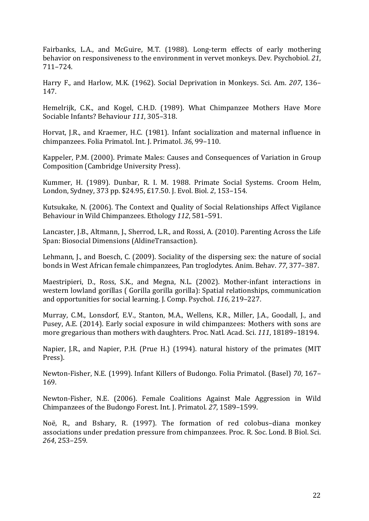Fairbanks, L.A., and McGuire, M.T. (1988). Long-term effects of early mothering behavior on responsiveness to the environment in vervet monkeys. Dev. Psychobiol. 21, 711–724.

Harry F., and Harlow, M.K. (1962). Social Deprivation in Monkeys. Sci. Am. 207, 136– 147.

Hemelrijk, C.K., and Kogel, C.H.D. (1989). What Chimpanzee Mothers Have More Sociable Infants? Behaviour 111, 305-318.

Horvat, J.R., and Kraemer, H.C. (1981). Infant socialization and maternal influence in chimpanzees. Folia Primatol. Int. J. Primatol. *36*, 99–110.

Kappeler, P.M. (2000). Primate Males: Causes and Consequences of Variation in Group Composition (Cambridge University Press).

Kummer, H. (1989). Dunbar, R. I. M. 1988. Primate Social Systems. Croom Helm, London, Sydney, 373 pp. \$24.95, £17.50. J. Evol. Biol. 2, 153-154.

Kutsukake, N. (2006). The Context and Quality of Social Relationships Affect Vigilance Behaviour in Wild Chimpanzees. Ethology 112, 581-591.

Lancaster, J.B., Altmann, J., Sherrod, L.R., and Rossi, A. (2010). Parenting Across the Life Span: Biosocial Dimensions (AldineTransaction).

Lehmann, J., and Boesch, C. (2009). Sociality of the dispersing sex: the nature of social bonds in West African female chimpanzees, Pan troglodytes. Anim. Behav. 77, 377–387.

Maestripieri, D., Ross, S.K., and Megna, N.L. (2002). Mother-infant interactions in western lowland gorillas ( Gorilla gorilla gorilla): Spatial relationships, communication and opportunities for social learning. J. Comp. Psychol. 116, 219–227.

Murray, C.M., Lonsdorf, E.V., Stanton, M.A., Wellens, K.R., Miller, J.A., Goodall, J., and Pusey, A.E. (2014). Early social exposure in wild chimpanzees: Mothers with sons are more gregarious than mothers with daughters. Proc. Natl. Acad. Sci. 111, 18189-18194.

Napier, J.R., and Napier, P.H. (Prue H.) (1994). natural history of the primates (MIT Press).

Newton-Fisher, N.E. (1999). Infant Killers of Budongo. Folia Primatol. (Basel) 70, 167– 169.

Newton-Fisher, N.E. (2006). Female Coalitions Against Male Aggression in Wild Chimpanzees of the Budongo Forest. Int. J. Primatol. 27, 1589-1599.

Noë, R., and Bshary, R. (1997). The formation of red colobus-diana monkey associations under predation pressure from chimpanzees. Proc. R. Soc. Lond. B Biol. Sci. *264*, 253–259.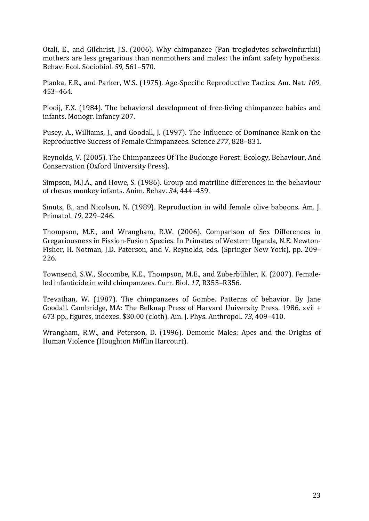Otali, E., and Gilchrist, J.S. (2006). Why chimpanzee (Pan troglodytes schweinfurthii) mothers are less gregarious than nonmothers and males: the infant safety hypothesis. Behav. Ecol. Sociobiol. *59*, 561–570.

Pianka, E.R., and Parker, W.S. (1975). Age-Specific Reproductive Tactics. Am. Nat. 109, 453–464.

Plooij, F.X. (1984). The behavioral development of free-living chimpanzee babies and infants. Monogr. Infancy 207.

Pusey, A., Williams, J., and Goodall, J. (1997). The Influence of Dominance Rank on the Reproductive Success of Female Chimpanzees. Science 277, 828–831.

Reynolds, V. (2005). The Chimpanzees Of The Budongo Forest: Ecology, Behaviour, And Conservation (Oxford University Press).

Simpson, M.J.A., and Howe, S. (1986). Group and matriline differences in the behaviour of rhesus monkey infants. Anim. Behav. 34, 444-459.

Smuts, B., and Nicolson, N. (1989). Reproduction in wild female olive baboons. Am. J. Primatol. *19*, 229–246.

Thompson, M.E., and Wrangham, R.W. (2006). Comparison of Sex Differences in Gregariousness in Fission-Fusion Species. In Primates of Western Uganda, N.E. Newton-Fisher, H. Notman, J.D. Paterson, and V. Reynolds, eds. (Springer New York), pp. 209– 226.

Townsend, S.W., Slocombe, K.E., Thompson, M.E., and Zuberbühler, K. (2007). Femaleled infanticide in wild chimpanzees. Curr. Biol. 17, R355-R356.

Trevathan, W. (1987). The chimpanzees of Gombe. Patterns of behavior. By Jane Goodall. Cambridge, MA: The Belknap Press of Harvard University Press. 1986. xvii + 673 pp., figures, indexes. \$30.00 (cloth). Am. J. Phys. Anthropol. *73*, 409–410.

Wrangham, R.W., and Peterson, D. (1996). Demonic Males: Apes and the Origins of Human Violence (Houghton Mifflin Harcourt).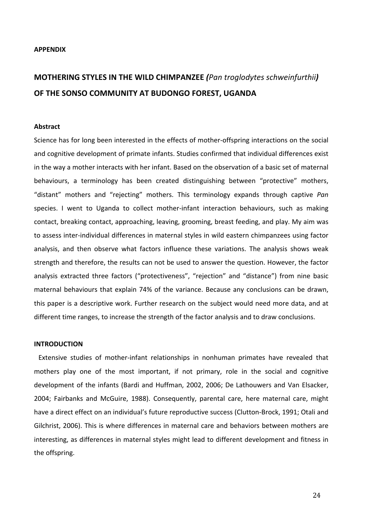#### **APPENDIX**

# **MOTHERING STYLES IN THE WILD CHIMPANZEE** (*Pan troglodytes schweinfurthii*) OF THE SONSO COMMUNITY AT BUDONGO FOREST, UGANDA

#### **Abstract**

Science has for long been interested in the effects of mother-offspring interactions on the social and cognitive development of primate infants. Studies confirmed that individual differences exist in the way a mother interacts with her infant. Based on the observation of a basic set of maternal behaviours, a terminology has been created distinguishing between "protective" mothers, "distant" mothers and "rejecting" mothers. This terminology expands through captive *Pan* species. I went to Uganda to collect mother-infant interaction behaviours, such as making contact, breaking contact, approaching, leaving, grooming, breast feeding, and play. My aim was to assess inter-individual differences in maternal styles in wild eastern chimpanzees using factor analysis, and then observe what factors influence these variations. The analysis shows weak strength and therefore, the results can not be used to answer the question. However, the factor analysis extracted three factors ("protectiveness", "rejection" and "distance") from nine basic maternal behaviours that explain 74% of the variance. Because any conclusions can be drawn, this paper is a descriptive work. Further research on the subject would need more data, and at different time ranges, to increase the strength of the factor analysis and to draw conclusions.

#### **INTRODUCTION**

Extensive studies of mother-infant relationships in nonhuman primates have revealed that mothers play one of the most important, if not primary, role in the social and cognitive development of the infants (Bardi and Huffman, 2002, 2006; De Lathouwers and Van Elsacker, 2004; Fairbanks and McGuire, 1988). Consequently, parental care, here maternal care, might have a direct effect on an individual's future reproductive success (Clutton-Brock, 1991; Otali and Gilchrist, 2006). This is where differences in maternal care and behaviors between mothers are interesting, as differences in maternal styles might lead to different development and fitness in the offspring.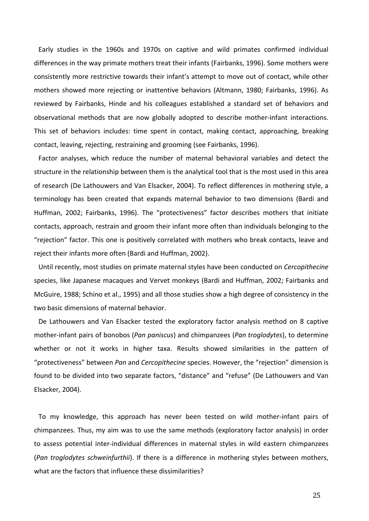Early studies in the 1960s and 1970s on captive and wild primates confirmed individual differences in the way primate mothers treat their infants (Fairbanks, 1996). Some mothers were consistently more restrictive towards their infant's attempt to move out of contact, while other mothers showed more rejecting or inattentive behaviors (Altmann, 1980; Fairbanks, 1996). As reviewed by Fairbanks, Hinde and his colleagues established a standard set of behaviors and observational methods that are now globally adopted to describe mother-infant interactions. This set of behaviors includes: time spent in contact, making contact, approaching, breaking contact, leaving, rejecting, restraining and grooming (see Fairbanks, 1996).

Factor analyses, which reduce the number of maternal behavioral variables and detect the structure in the relationship between them is the analytical tool that is the most used in this area of research (De Lathouwers and Van Elsacker, 2004). To reflect differences in mothering style, a terminology has been created that expands maternal behavior to two dimensions (Bardi and Huffman, 2002; Fairbanks, 1996). The "protectiveness" factor describes mothers that initiate contacts, approach, restrain and groom their infant more often than individuals belonging to the "rejection" factor. This one is positively correlated with mothers who break contacts, leave and reject their infants more often (Bardi and Huffman, 2002).

Until recently, most studies on primate maternal styles have been conducted on *Cercopithecine* species, like Japanese macaques and Vervet monkeys (Bardi and Huffman, 2002; Fairbanks and McGuire, 1988; Schino et al., 1995) and all those studies show a high degree of consistency in the two basic dimensions of maternal behavior.

De Lathouwers and Van Elsacker tested the exploratory factor analysis method on 8 captive mother-infant pairs of bonobos (*Pan paniscus*) and chimpanzees (*Pan troglodytes*), to determine whether or not it works in higher taxa. Results showed similarities in the pattern of "protectiveness" between *Pan* and *Cercopithecine* species. However, the "rejection" dimension is found to be divided into two separate factors, "distance" and "refuse" (De Lathouwers and Van Elsacker, 2004).

To my knowledge, this approach has never been tested on wild mother-infant pairs of chimpanzees. Thus, my aim was to use the same methods (exploratory factor analysis) in order to assess potential inter-individual differences in maternal styles in wild eastern chimpanzees (Pan troglodytes schweinfurthii). If there is a difference in mothering styles between mothers, what are the factors that influence these dissimilarities?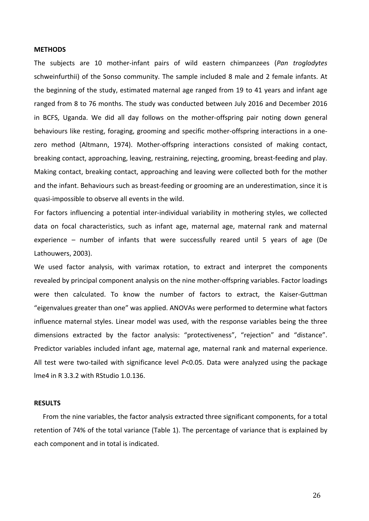#### **METHODS**

The subjects are 10 mother-infant pairs of wild eastern chimpanzees (Pan troglodytes schweinfurthii) of the Sonso community. The sample included 8 male and 2 female infants. At the beginning of the study, estimated maternal age ranged from 19 to 41 years and infant age ranged from 8 to 76 months. The study was conducted between July 2016 and December 2016 in BCFS, Uganda. We did all day follows on the mother-offspring pair noting down general behaviours like resting, foraging, grooming and specific mother-offspring interactions in a onezero method (Altmann, 1974). Mother-offspring interactions consisted of making contact, breaking contact, approaching, leaving, restraining, rejecting, grooming, breast-feeding and play. Making contact, breaking contact, approaching and leaving were collected both for the mother and the infant. Behaviours such as breast-feeding or grooming are an underestimation, since it is quasi-impossible to observe all events in the wild.

For factors influencing a potential inter-individual variability in mothering styles, we collected data on focal characteristics, such as infant age, maternal age, maternal rank and maternal experience  $-$  number of infants that were successfully reared until 5 years of age (De Lathouwers, 2003).

We used factor analysis, with varimax rotation, to extract and interpret the components revealed by principal component analysis on the nine mother-offspring variables. Factor loadings were then calculated. To know the number of factors to extract, the Kaiser-Guttman "eigenvalues greater than one" was applied. ANOVAs were performed to determine what factors influence maternal styles. Linear model was used, with the response variables being the three dimensions extracted by the factor analysis: "protectiveness", "rejection" and "distance". Predictor variables included infant age, maternal age, maternal rank and maternal experience. All test were two-tailed with significance level  $P<0.05$ . Data were analyzed using the package lme4 in R 3.3.2 with RStudio 1.0.136.

#### **RESULTS**

From the nine variables, the factor analysis extracted three significant components, for a total retention of 74% of the total variance (Table 1). The percentage of variance that is explained by each component and in total is indicated.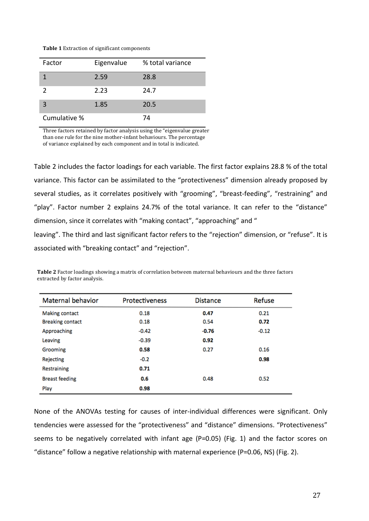| <b>Table 1</b> Extraction of significant components |  |
|-----------------------------------------------------|--|
|-----------------------------------------------------|--|

| Factor       | Eigenvalue | % total variance |
|--------------|------------|------------------|
|              | 2.59       | 28.8             |
| 2            | 2.23       | 24.7             |
| 3            | 1.85       | 20.5             |
| Cumulative % |            | 74               |

Three factors retained by factor analysis using the "eigenvalue greater than one rule for the nine mother-infant behaviours. The percentage of variance explained by each component and in total is indicated.

Table 2 includes the factor loadings for each variable. The first factor explains 28.8 % of the total variance. This factor can be assimilated to the "protectiveness" dimension already proposed by several studies, as it correlates positively with "grooming", "breast-feeding", "restraining" and "play". Factor number 2 explains 24.7% of the total variance. It can refer to the "distance" dimension, since it correlates with "making contact", "approaching" and " leaving". The third and last significant factor refers to the "rejection" dimension, or "refuse". It is

associated with "breaking contact" and "rejection".

| Maternal behavior       | Protectiveness | <b>Distance</b> | <b>Refuse</b> |
|-------------------------|----------------|-----------------|---------------|
| <b>Making contact</b>   | 0.18           | 0.47            | 0.21          |
| <b>Breaking contact</b> | 0.18           | 0.54            | 0.72          |
| Approaching             | $-0.42$        | $-0.76$         | $-0.12$       |
| Leaving                 | $-0.39$        | 0.92            |               |
| Grooming                | 0.58           | 0.27            | 0.16          |
| Rejecting               | $-0.2$         |                 | 0.98          |
| Restraining             | 0.71           |                 |               |
| <b>Breast feeding</b>   | 0.6            | 0.48            | 0.52          |
| Play                    | 0.98           |                 |               |

Table 2 Factor loadings showing a matrix of correlation between maternal behaviours and the three factors extracted by factor analysis.

None of the ANOVAs testing for causes of inter-individual differences were significant. Only tendencies were assessed for the "protectiveness" and "distance" dimensions. "Protectiveness" seems to be negatively correlated with infant age (P=0.05) (Fig. 1) and the factor scores on "distance" follow a negative relationship with maternal experience (P=0.06, NS) (Fig. 2).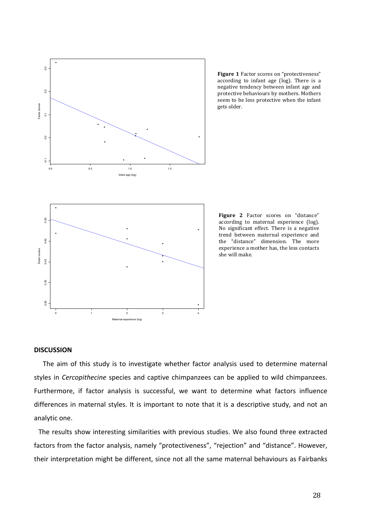

Figure 1 Factor scores on "protectiveness" according to infant age (log). There is a negative tendency between infant age and protective behaviours by mothers. Mothers seem to be less protective when the infant gets older.



# **DISCUSSION**

The aim of this study is to investigate whether factor analysis used to determine maternal styles in *Cercopithecine* species and captive chimpanzees can be applied to wild chimpanzees. Furthermore, if factor analysis is successful, we want to determine what factors influence differences in maternal styles. It is important to note that it is a descriptive study, and not an analytic one.

The results show interesting similarities with previous studies. We also found three extracted factors from the factor analysis, namely "protectiveness", "rejection" and "distance". However, their interpretation might be different, since not all the same maternal behaviours as Fairbanks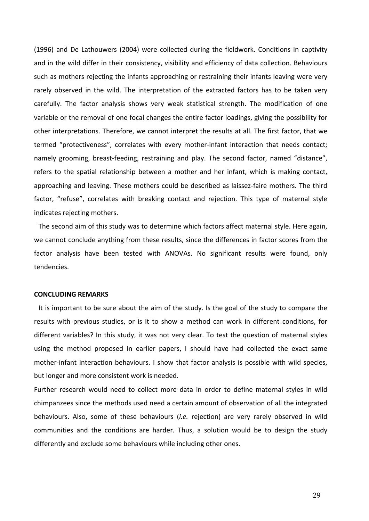(1996) and De Lathouwers (2004) were collected during the fieldwork. Conditions in captivity and in the wild differ in their consistency, visibility and efficiency of data collection. Behaviours such as mothers rejecting the infants approaching or restraining their infants leaving were very rarely observed in the wild. The interpretation of the extracted factors has to be taken very carefully. The factor analysis shows very weak statistical strength. The modification of one variable or the removal of one focal changes the entire factor loadings, giving the possibility for other interpretations. Therefore, we cannot interpret the results at all. The first factor, that we termed "protectiveness", correlates with every mother-infant interaction that needs contact; namely grooming, breast-feeding, restraining and play. The second factor, named "distance", refers to the spatial relationship between a mother and her infant, which is making contact, approaching and leaving. These mothers could be described as laissez-faire mothers. The third factor, "refuse", correlates with breaking contact and rejection. This type of maternal style indicates rejecting mothers.

The second aim of this study was to determine which factors affect maternal style. Here again, we cannot conclude anything from these results, since the differences in factor scores from the factor analysis have been tested with ANOVAs. No significant results were found, only tendencies.

## **CONCLUDING REMARKS**

It is important to be sure about the aim of the study. Is the goal of the study to compare the results with previous studies, or is it to show a method can work in different conditions, for different variables? In this study, it was not very clear. To test the question of maternal styles using the method proposed in earlier papers, I should have had collected the exact same mother-infant interaction behaviours. I show that factor analysis is possible with wild species, but longer and more consistent work is needed.

Further research would need to collect more data in order to define maternal styles in wild chimpanzees since the methods used need a certain amount of observation of all the integrated behaviours. Also, some of these behaviours (*i.e.* rejection) are very rarely observed in wild communities and the conditions are harder. Thus, a solution would be to design the study differently and exclude some behaviours while including other ones.